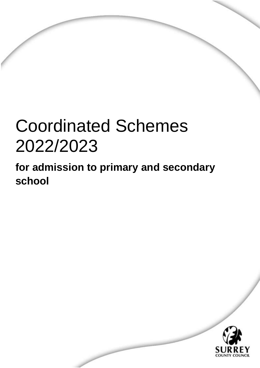# Coordinated Schemes 2022/2023

**for admission to primary and secondary school**



Coordinated Schemes 2022/23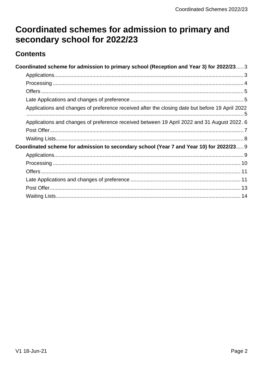# Coordinated schemes for admission to primary and secondary school for 2022/23

# **Contents**

| Coordinated scheme for admission to primary school (Reception and Year 3) for 2022/23 3         |  |
|-------------------------------------------------------------------------------------------------|--|
|                                                                                                 |  |
|                                                                                                 |  |
|                                                                                                 |  |
|                                                                                                 |  |
| Applications and changes of preference received after the closing date but before 19 April 2022 |  |
| Applications and changes of preference received between 19 April 2022 and 31 August 2022.6      |  |
|                                                                                                 |  |
|                                                                                                 |  |
| Coordinated scheme for admission to secondary school (Year 7 and Year 10) for 2022/23 9         |  |
|                                                                                                 |  |
|                                                                                                 |  |
|                                                                                                 |  |
|                                                                                                 |  |
|                                                                                                 |  |
|                                                                                                 |  |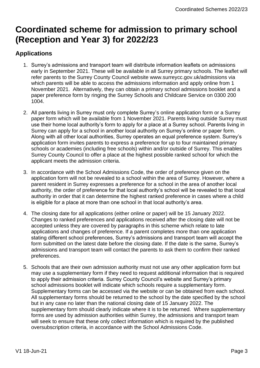# <span id="page-2-0"></span>**Coordinated scheme for admission to primary school (Reception and Year 3) for 2022/23**

# <span id="page-2-1"></span>**Applications**

- 1. Surrey's admissions and transport team will distribute information leaflets on admissions early in September 2021. These will be available in all Surrey primary schools. The leaflet will refer parents to the Surrey County Council website www.surreycc.gov.uk/admissions via which parents will be able to access the admissions information and apply online from 1 November 2021. Alternatively, they can obtain a primary school admissions booklet and a paper preference form by ringing the Surrey Schools and Childcare Service on 0300 200 1004.
- 2. All parents living in Surrey must only complete Surrey's online application form or a Surrey paper form which will be available from 1 November 2021. Parents living outside Surrey must use their home local authority's form to apply for a place at a Surrey school. Parents living in Surrey can apply for a school in another local authority on Surrey's online or paper form. Along with all other local authorities, Surrey operates an equal preference system. Surrey's application form invites parents to express a preference for up to four maintained primary schools or academies (including free schools) within and/or outside of Surrey. This enables Surrey County Council to offer a place at the highest possible ranked school for which the applicant meets the admission criteria.
- 3. In accordance with the School Admissions Code, the order of preference given on the application form will not be revealed to a school within the area of Surrey. However, where a parent resident in Surrey expresses a preference for a school in the area of another local authority, the order of preference for that local authority's school will be revealed to that local authority in order that it can determine the highest ranked preference in cases where a child is eligible for a place at more than one school in that local authority's area.
- 4. The closing date for all applications (either online or paper) will be 15 January 2022. Changes to ranked preferences and applications received after the closing date will not be accepted unless they are covered by paragraphs in this scheme which relate to late applications and changes of preference. If a parent completes more than one application stating different school preferences, Surrey's admissions and transport team will accept the form submitted on the latest date before the closing date. If the date is the same, Surrey's admissions and transport team will contact the parents to ask them to confirm their ranked preferences.
- 5. Schools that are their own admission authority must not use any other application form but may use a supplementary form if they need to request additional information that is required to apply their admission criteria. Surrey County Council's website and Surrey's primary school admissions booklet will indicate which schools require a supplementary form. Supplementary forms can be accessed via the website or can be obtained from each school. All supplementary forms should be returned to the school by the date specified by the school but in any case no later than the national closing date of 15 January 2022. The supplementary form should clearly indicate where it is to be returned. Where supplementary forms are used by admission authorities within Surrey, the admissions and transport team will seek to ensure that these only collect information which is required by the published oversubscription criteria, in accordance with the School Admissions Code.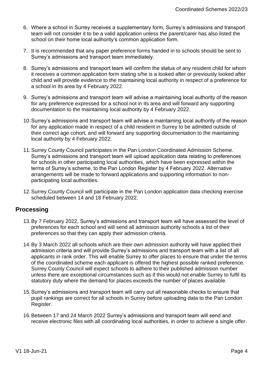- 6. Where a school in Surrey receives a supplementary form, Surrey's admissions and transport team will not consider it to be a valid application unless the parent/carer has also listed the school on their home local authority's common application form.
- 7. It is recommended that any paper preference forms handed in to schools should be sent to Surrey's admissions and transport team immediately.
- 8. Surrey's admissions and transport team will confirm the status of any resident child for whom it receives a common application form stating s/he is a looked after or previously looked after child and will provide evidence to the maintaining local authority in respect of a preference for a school in its area by 4 February 2022.
- 9. Surrey's admissions and transport team will advise a maintaining local authority of the reason for any preference expressed for a school not in its area and will forward any supporting documentation to the maintaining local authority by 4 February 2022.
- 10.Surrey's admissions and transport team will advise a maintaining local authority of the reason for any application made in respect of a child resident in Surrey to be admitted outside of their correct age cohort, and will forward any supporting documentation to the maintaining local authority by 4 February 2022.
- 11.Surrey County Council participates in the Pan London Coordinated Admission Scheme. Surrey's admissions and transport team will upload application data relating to preferences for schools in other participating local authorities, which have been expressed within the terms of Surrey's scheme, to the Pan London Register by 4 February 2022. Alternative arrangements will be made to forward applications and supporting information to nonparticipating local authorities.
- 12.Surrey County Council will participate in the Pan London application data checking exercise scheduled between 14 and 18 February 2022.

# <span id="page-3-0"></span>**Processing**

- 13.By 7 February 2022, Surrey's admissions and transport team will have assessed the level of preferences for each school and will send all admission authority schools a list of their preferences so that they can apply their admission criteria.
- 14.By 3 March 2022 all schools which are their own admission authority will have applied their admission criteria and will provide Surrey's admissions and transport team with a list of all applicants in rank order. This will enable Surrey to offer places to ensure that under the terms of the coordinated scheme each applicant is offered the highest possible ranked preference. Surrey County Council will expect schools to adhere to their published admission number unless there are exceptional circumstances such as if this would not enable Surrey to fulfil its statutory duty where the demand for places exceeds the number of places available.
- 15.Surrey's admissions and transport team will carry out all reasonable checks to ensure that pupil rankings are correct for all schools in Surrey before uploading data to the Pan London Register.
- 16.Between 17 and 24 March 2022 Surrey's admissions and transport team will send and receive electronic files with all coordinating local authorities, in order to achieve a single offer.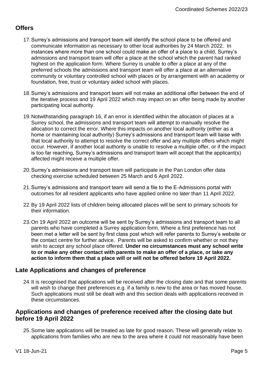# <span id="page-4-0"></span>**Offers**

- 17.Surrey's admissions and transport team will identify the school place to be offered and communicate information as necessary to other local authorities by 24 March 2022. In instances where more than one school could make an offer of a place to a child, Surrey's admissions and transport team will offer a place at the school which the parent had ranked highest on the application form. Where Surrey is unable to offer a place at any of the preferred schools the admissions and transport team will offer a place at an alternative community or voluntary controlled school with places or by arrangement with an academy or foundation, free, trust or voluntary aided school with places.
- 18.Surrey's admissions and transport team will not make an additional offer between the end of the iterative process and 19 April 2022 which may impact on an offer being made by another participating local authority.
- 19.Notwithstanding paragraph 16, if an error is identified within the allocation of places at a Surrey school, the admissions and transport team will attempt to manually resolve the allocation to correct the error. Where this impacts on another local authority (either as a home or maintaining local authority) Surrey's admissions and transport team will liaise with that local authority to attempt to resolve the correct offer and any multiple offers which might occur. However, if another local authority is unable to resolve a multiple offer, or if the impact is too far reaching, Surrey's admissions and transport team will accept that the applicant(s) affected might receive a multiple offer.
- 20.Surrey's admissions and transport team will participate in the Pan London offer data checking exercise scheduled between 25 March and 6 April 2022.
- 21.Surrey's admissions and transport team will send a file to the E-Admissions portal with outcomes for all resident applicants who have applied online no later than 11 April 2022.
- 22.By 19 April 2022 lists of children being allocated places will be sent to primary schools for their information.
- 23.On 19 April 2022 an outcome will be sent by Surrey's admissions and transport team to all parents who have completed a Surrey application form. Where a first preference has not been met a letter will be sent by first class post which will refer parents to Surrey's website or the contact centre for further advice. Parents will be asked to confirm whether or not they wish to accept any school place offered. **Under no circumstances must any school write to or make any other contact with parents to make an offer of a place, or take any action to inform them that a place will or will not be offered before 19 April 2022.**

# <span id="page-4-1"></span>**Late Applications and changes of preference**

24.It is recognised that applications will be received after the closing date and that some parents will wish to change their preferences e.g. if a family is new to the area or has moved house. Such applications must still be dealt with and this section deals with applications received in these circumstances.

#### <span id="page-4-2"></span>**Applications and changes of preference received after the closing date but before 19 April 2022**

25.Some late applications will be treated as late for good reason. These will generally relate to applications from families who are new to the area where it could not reasonably have been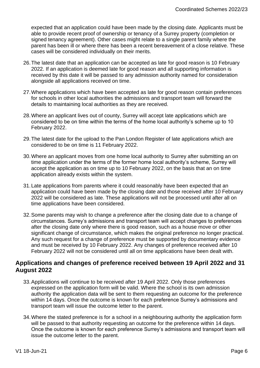expected that an application could have been made by the closing date. Applicants must be able to provide recent proof of ownership or tenancy of a Surrey property (completion or signed tenancy agreement). Other cases might relate to a single parent family where the parent has been ill or where there has been a recent bereavement of a close relative. These cases will be considered individually on their merits.

- 26.The latest date that an application can be accepted as late for good reason is 10 February 2022. If an application is deemed late for good reason and all supporting information is received by this date it will be passed to any admission authority named for consideration alongside all applications received on time.
- 27.Where applications which have been accepted as late for good reason contain preferences for schools in other local authorities the admissions and transport team will forward the details to maintaining local authorities as they are received.
- 28.Where an applicant lives out of county, Surrey will accept late applications which are considered to be on time within the terms of the home local authority's scheme up to 10 February 2022.
- 29.The latest date for the upload to the Pan London Register of late applications which are considered to be on time is 11 February 2022.
- 30.Where an applicant moves from one home local authority to Surrey after submitting an on time application under the terms of the former home local authority's scheme, Surrey will accept the application as on time up to 10 February 2022, on the basis that an on time application already exists within the system.
- 31.Late applications from parents where it could reasonably have been expected that an application could have been made by the closing date and those received after 10 February 2022 will be considered as late. These applications will not be processed until after all on time applications have been considered.
- 32.Some parents may wish to change a preference after the closing date due to a change of circumstances. Surrey's admissions and transport team will accept changes to preferences after the closing date only where there is good reason, such as a house move or other significant change of circumstance, which makes the original preference no longer practical. Any such request for a change of preference must be supported by documentary evidence and must be received by 10 February 2022. Any changes of preference received after 10 February 2022 will not be considered until all on time applications have been dealt with.

# <span id="page-5-0"></span>**Applications and changes of preference received between 19 April 2022 and 31 August 2022**

- 33.Applications will continue to be received after 19 April 2022. Only those preferences expressed on the application form will be valid. Where the school is its own admission authority the application data will be sent to them requesting an outcome for the preference within 14 days. Once the outcome is known for each preference Surrey's admissions and transport team will issue the outcome letter to the parent.
- 34.Where the stated preference is for a school in a neighbouring authority the application form will be passed to that authority requesting an outcome for the preference within 14 days. Once the outcome is known for each preference Surrey's admissions and transport team will issue the outcome letter to the parent.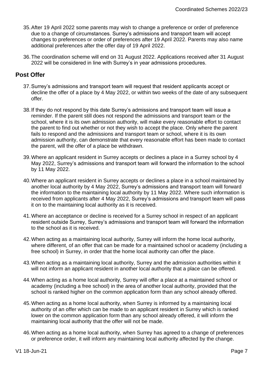- 35.After 19 April 2022 some parents may wish to change a preference or order of preference due to a change of circumstances. Surrey's admissions and transport team will accept changes to preferences or order of preferences after 19 April 2022. Parents may also name additional preferences after the offer day of 19 April 2022.
- 36.The coordination scheme will end on 31 August 2022. Applications received after 31 August 2022 will be considered in line with Surrey's in year admissions procedures.

# <span id="page-6-0"></span>**Post Offer**

- 37.Surrey's admissions and transport team will request that resident applicants accept or decline the offer of a place by 4 May 2022, or within two weeks of the date of any subsequent offer.
- 38.If they do not respond by this date Surrey's admissions and transport team will issue a reminder. If the parent still does not respond the admissions and transport team or the school, where it is its own admission authority, will make every reasonable effort to contact the parent to find out whether or not they wish to accept the place. Only where the parent fails to respond and the admissions and transport team or school, where it is its own admission authority, can demonstrate that every reasonable effort has been made to contact the parent, will the offer of a place be withdrawn.
- 39.Where an applicant resident in Surrey accepts or declines a place in a Surrey school by 4 May 2022, Surrey's admissions and transport team will forward the information to the school by 11 May 2022.
- 40.Where an applicant resident in Surrey accepts or declines a place in a school maintained by another local authority by 4 May 2022, Surrey's admissions and transport team will forward the information to the maintaining local authority by 11 May 2022. Where such information is received from applicants after 4 May 2022, Surrey's admissions and transport team will pass it on to the maintaining local authority as it is received.
- 41.Where an acceptance or decline is received for a Surrey school in respect of an applicant resident outside Surrey, Surrey's admissions and transport team will forward the information to the school as it is received.
- 42.When acting as a maintaining local authority, Surrey will inform the home local authority, where different, of an offer that can be made for a maintained school or academy (including a free school) in Surrey, in order that the home local authority can offer the place.
- 43.When acting as a maintaining local authority, Surrey and the admission authorities within it will not inform an applicant resident in another local authority that a place can be offered.
- 44.When acting as a home local authority, Surrey will offer a place at a maintained school or academy (including a free school) in the area of another local authority, provided that the school is ranked higher on the common application form than any school already offered.
- 45.When acting as a home local authority, when Surrey is informed by a maintaining local authority of an offer which can be made to an applicant resident in Surrey which is ranked lower on the common application form than any school already offered, it will inform the maintaining local authority that the offer will not be made.
- 46.When acting as a home local authority, when Surrey has agreed to a change of preferences or preference order, it will inform any maintaining local authority affected by the change.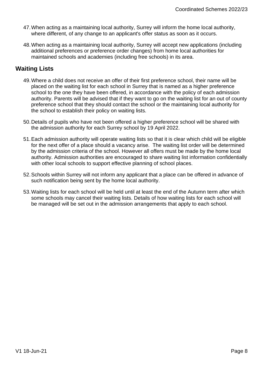- 47.When acting as a maintaining local authority, Surrey will inform the home local authority, where different, of any change to an applicant's offer status as soon as it occurs.
- 48.When acting as a maintaining local authority, Surrey will accept new applications (including additional preferences or preference order changes) from home local authorities for maintained schools and academies (including free schools) in its area.

# <span id="page-7-0"></span>**Waiting Lists**

- 49.Where a child does not receive an offer of their first preference school, their name will be placed on the waiting list for each school in Surrey that is named as a higher preference school to the one they have been offered, in accordance with the policy of each admission authority. Parents will be advised that if they want to go on the waiting list for an out of county preference school that they should contact the school or the maintaining local authority for the school to establish their policy on waiting lists.
- 50.Details of pupils who have not been offered a higher preference school will be shared with the admission authority for each Surrey school by 19 April 2022.
- 51.Each admission authority will operate waiting lists so that it is clear which child will be eligible for the next offer of a place should a vacancy arise. The waiting list order will be determined by the admission criteria of the school. However all offers must be made by the home local authority. Admission authorities are encouraged to share waiting list information confidentially with other local schools to support effective planning of school places.
- 52.Schools within Surrey will not inform any applicant that a place can be offered in advance of such notification being sent by the home local authority.
- 53.Waiting lists for each school will be held until at least the end of the Autumn term after which some schools may cancel their waiting lists. Details of how waiting lists for each school will be managed will be set out in the admission arrangements that apply to each school.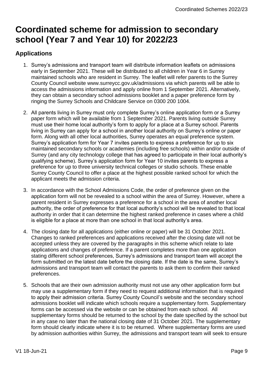# <span id="page-8-0"></span>**Coordinated scheme for admission to secondary school (Year 7 and Year 10) for 2022/23**

# <span id="page-8-1"></span>**Applications**

- 1. Surrey's admissions and transport team will distribute information leaflets on admissions early in September 2021. These will be distributed to all children in Year 6 in Surrey maintained schools who are resident in Surrey. The leaflet will refer parents to the Surrey County Council website www.surreycc.gov.uk/admissions via which parents will be able to access the admissions information and apply online from 1 September 2021. Alternatively, they can obtain a secondary school admissions booklet and a paper preference form by ringing the Surrey Schools and Childcare Service on 0300 200 1004.
- 2. All parents living in Surrey must only complete Surrey's online application form or a Surrey paper form which will be available from 1 September 2021. Parents living outside Surrey must use their home local authority's form to apply for a place at a Surrey school. Parents living in Surrey can apply for a school in another local authority on Surrey's online or paper form. Along with all other local authorities, Surrey operates an equal preference system. Surrey's application form for Year 7 invites parents to express a preference for up to six maintained secondary schools or academies (including free schools) within and/or outside of Surrey (and any city technology college that has agreed to participate in their local authority's qualifying scheme). Surrey's application form for Year 10 invites parents to express a preference for up to three university technical colleges or studio schools. These enable Surrey County Council to offer a place at the highest possible ranked school for which the applicant meets the admission criteria.
- 3. In accordance with the School Admissions Code, the order of preference given on the application form will not be revealed to a school within the area of Surrey. However, where a parent resident in Surrey expresses a preference for a school in the area of another local authority, the order of preference for that local authority's school will be revealed to that local authority in order that it can determine the highest ranked preference in cases where a child is eligible for a place at more than one school in that local authority's area.
- 4. The closing date for all applications (either online or paper) will be 31 October 2021. Changes to ranked preferences and applications received after the closing date will not be accepted unless they are covered by the paragraphs in this scheme which relate to late applications and changes of preference. If a parent completes more than one application stating different school preferences, Surrey's admissions and transport team will accept the form submitted on the latest date before the closing date. If the date is the same, Surrey's admissions and transport team will contact the parents to ask them to confirm their ranked preferences.
- 5. Schools that are their own admission authority must not use any other application form but may use a supplementary form if they need to request additional information that is required to apply their admission criteria. Surrey County Council's website and the secondary school admissions booklet will indicate which schools require a supplementary form. Supplementary forms can be accessed via the website or can be obtained from each school. All supplementary forms should be returned to the school by the date specified by the school but in any case no later than the national closing date of 31 October 2021. The supplementary form should clearly indicate where it is to be returned. Where supplementary forms are used by admission authorities within Surrey, the admissions and transport team will seek to ensure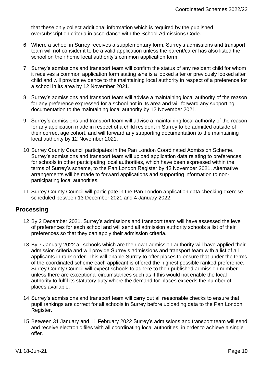that these only collect additional information which is required by the published oversubscription criteria in accordance with the School Admissions Code.

- 6. Where a school in Surrey receives a supplementary form, Surrey's admissions and transport team will not consider it to be a valid application unless the parent/carer has also listed the school on their home local authority's common application form.
- 7. Surrey's admissions and transport team will confirm the status of any resident child for whom it receives a common application form stating s/he is a looked after or previously looked after child and will provide evidence to the maintaining local authority in respect of a preference for a school in its area by 12 November 2021.
- 8. Surrey's admissions and transport team will advise a maintaining local authority of the reason for any preference expressed for a school not in its area and will forward any supporting documentation to the maintaining local authority by 12 November 2021.
- 9. Surrey's admissions and transport team will advise a maintaining local authority of the reason for any application made in respect of a child resident in Surrey to be admitted outside of their correct age cohort, and will forward any supporting documentation to the maintaining local authority by 12 November 2021.
- 10.Surrey County Council participates in the Pan London Coordinated Admission Scheme. Surrey's admissions and transport team will upload application data relating to preferences for schools in other participating local authorities, which have been expressed within the terms of Surrey's scheme, to the Pan London Register by 12 November 2021. Alternative arrangements will be made to forward applications and supporting information to nonparticipating local authorities.
- 11.Surrey County Council will participate in the Pan London application data checking exercise scheduled between 13 December 2021 and 4 January 2022.

# <span id="page-9-0"></span>**Processing**

- 12.By 2 December 2021, Surrey's admissions and transport team will have assessed the level of preferences for each school and will send all admission authority schools a list of their preferences so that they can apply their admission criteria.
- 13.By 7 January 2022 all schools which are their own admission authority will have applied their admission criteria and will provide Surrey's admissions and transport team with a list of all applicants in rank order. This will enable Surrey to offer places to ensure that under the terms of the coordinated scheme each applicant is offered the highest possible ranked preference. Surrey County Council will expect schools to adhere to their published admission number unless there are exceptional circumstances such as if this would not enable the local authority to fulfil its statutory duty where the demand for places exceeds the number of places available.
- 14.Surrey's admissions and transport team will carry out all reasonable checks to ensure that pupil rankings are correct for all schools in Surrey before uploading data to the Pan London Register.
- 15.Between 31 January and 11 February 2022 Surrey's admissions and transport team will send and receive electronic files with all coordinating local authorities, in order to achieve a single offer.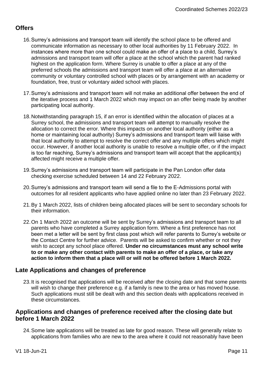# <span id="page-10-0"></span>**Offers**

- 16.Surrey's admissions and transport team will identify the school place to be offered and communicate information as necessary to other local authorities by 11 February 2022. In instances where more than one school could make an offer of a place to a child, Surrey's admissions and transport team will offer a place at the school which the parent had ranked highest on the application form. Where Surrey is unable to offer a place at any of the preferred schools the admissions and transport team will offer a place at an alternative community or voluntary controlled school with places or by arrangement with an academy or foundation, free, trust or voluntary aided school with places.
- 17.Surrey's admissions and transport team will not make an additional offer between the end of the iterative process and 1 March 2022 which may impact on an offer being made by another participating local authority.
- 18.Notwithstanding paragraph 15, if an error is identified within the allocation of places at a Surrey school, the admissions and transport team will attempt to manually resolve the allocation to correct the error. Where this impacts on another local authority (either as a home or maintaining local authority) Surrey's admissions and transport team will liaise with that local authority to attempt to resolve the correct offer and any multiple offers which might occur. However, if another local authority is unable to resolve a multiple offer, or if the impact is too far reaching, Surrey's admissions and transport team will accept that the applicant(s) affected might receive a multiple offer.
- 19.Surrey's admissions and transport team will participate in the Pan London offer data checking exercise scheduled between 14 and 22 February 2022.
- 20.Surrey's admissions and transport team will send a file to the E-Admissions portal with outcomes for all resident applicants who have applied online no later than 23 February 2022.
- 21.By 1 March 2022, lists of children being allocated places will be sent to secondary schools for their information.
- 22.On 1 March 2022 an outcome will be sent by Surrey's admissions and transport team to all parents who have completed a Surrey application form. Where a first preference has not been met a letter will be sent by first class post which will refer parents to Surrey's website or the Contact Centre for further advice. Parents will be asked to confirm whether or not they wish to accept any school place offered. **Under no circumstances must any school write to or make any other contact with parents to make an offer of a place, or take any action to inform them that a place will or will not be offered before 1 March 2022.**

# <span id="page-10-1"></span>**Late Applications and changes of preference**

23.It is recognised that applications will be received after the closing date and that some parents will wish to change their preference e.g. if a family is new to the area or has moved house. Such applications must still be dealt with and this section deals with applications received in these circumstances.

#### **Applications and changes of preference received after the closing date but before 1 March 2022**

24.Some late applications will be treated as late for good reason. These will generally relate to applications from families who are new to the area where it could not reasonably have been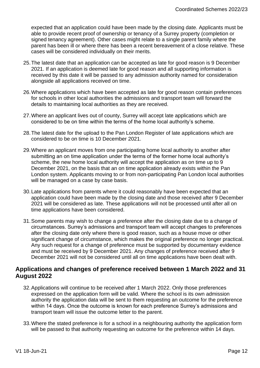expected that an application could have been made by the closing date. Applicants must be able to provide recent proof of ownership or tenancy of a Surrey property (completion or signed tenancy agreement). Other cases might relate to a single parent family where the parent has been ill or where there has been a recent bereavement of a close relative. These cases will be considered individually on their merits.

- 25.The latest date that an application can be accepted as late for good reason is 9 December 2021. If an application is deemed late for good reason and all supporting information is received by this date it will be passed to any admission authority named for consideration alongside all applications received on time.
- 26.Where applications which have been accepted as late for good reason contain preferences for schools in other local authorities the admissions and transport team will forward the details to maintaining local authorities as they are received.
- 27.Where an applicant lives out of county, Surrey will accept late applications which are considered to be on time within the terms of the home local authority's scheme.
- 28.The latest date for the upload to the Pan London Register of late applications which are considered to be on time is 10 December 2021.
- 29.Where an applicant moves from one participating home local authority to another after submitting an on time application under the terms of the former home local authority's scheme, the new home local authority will accept the application as on time up to 9 December 2021, on the basis that an on time application already exists within the Pan London system. Applicants moving to or from non-participating Pan London local authorities will be managed on a case by case basis.
- 30.Late applications from parents where it could reasonably have been expected that an application could have been made by the closing date and those received after 9 December 2021 will be considered as late. These applications will not be processed until after all on time applications have been considered.
- 31.Some parents may wish to change a preference after the closing date due to a change of circumstances. Surrey's admissions and transport team will accept changes to preferences after the closing date only where there is good reason, such as a house move or other significant change of circumstance, which makes the original preference no longer practical. Any such request for a change of preference must be supported by documentary evidence and must be received by 9 December 2021. Any changes of preference received after 9 December 2021 will not be considered until all on time applications have been dealt with.

# **Applications and changes of preference received between 1 March 2022 and 31 August 2022**

- 32.Applications will continue to be received after 1 March 2022. Only those preferences expressed on the application form will be valid. Where the school is its own admission authority the application data will be sent to them requesting an outcome for the preference within 14 days. Once the outcome is known for each preference Surrey's admissions and transport team will issue the outcome letter to the parent.
- 33.Where the stated preference is for a school in a neighbouring authority the application form will be passed to that authority requesting an outcome for the preference within 14 days.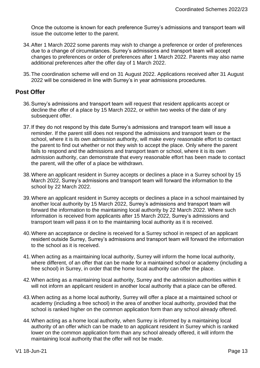Once the outcome is known for each preference Surrey's admissions and transport team will issue the outcome letter to the parent.

- 34.After 1 March 2022 some parents may wish to change a preference or order of preferences due to a change of circumstances. Surrey's admissions and transport team will accept changes to preferences or order of preferences after 1 March 2022. Parents may also name additional preferences after the offer day of 1 March 2022.
- 35.The coordination scheme will end on 31 August 2022. Applications received after 31 August 2022 will be considered in line with Surrey's in year admissions procedures.

# <span id="page-12-0"></span>**Post Offer**

- 36.Surrey's admissions and transport team will request that resident applicants accept or decline the offer of a place by 15 March 2022, or within two weeks of the date of any subsequent offer.
- 37.If they do not respond by this date Surrey's admissions and transport team will issue a reminder. If the parent still does not respond the admissions and transport team or the school, where it is its own admission authority, will make every reasonable effort to contact the parent to find out whether or not they wish to accept the place. Only where the parent fails to respond and the admissions and transport team or school, where it is its own admission authority, can demonstrate that every reasonable effort has been made to contact the parent, will the offer of a place be withdrawn.
- 38.Where an applicant resident in Surrey accepts or declines a place in a Surrey school by 15 March 2022, Surrey's admissions and transport team will forward the information to the school by 22 March 2022.
- 39.Where an applicant resident in Surrey accepts or declines a place in a school maintained by another local authority by 15 March 2022, Surrey's admissions and transport team will forward the information to the maintaining local authority by 22 March 2022. Where such information is received from applicants after 15 March 2022, Surrey's admissions and transport team will pass it on to the maintaining local authority as it is received.
- 40.Where an acceptance or decline is received for a Surrey school in respect of an applicant resident outside Surrey, Surrey's admissions and transport team will forward the information to the school as it is received.
- 41.When acting as a maintaining local authority, Surrey will inform the home local authority, where different, of an offer that can be made for a maintained school or academy (including a free school) in Surrey, in order that the home local authority can offer the place.
- 42.When acting as a maintaining local authority, Surrey and the admission authorities within it will not inform an applicant resident in another local authority that a place can be offered.
- 43.When acting as a home local authority, Surrey will offer a place at a maintained school or academy (including a free school) in the area of another local authority, provided that the school is ranked higher on the common application form than any school already offered.
- 44.When acting as a home local authority, when Surrey is informed by a maintaining local authority of an offer which can be made to an applicant resident in Surrey which is ranked lower on the common application form than any school already offered, it will inform the maintaining local authority that the offer will not be made.